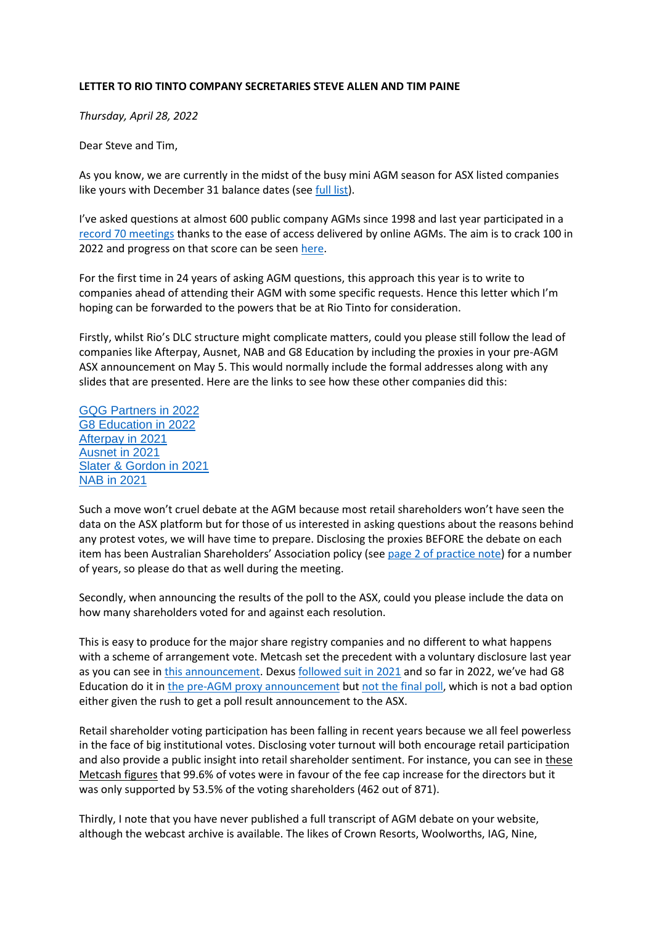## **LETTER TO RIO TINTO COMPANY SECRETARIES STEVE ALLEN AND TIM PAINE**

*Thursday, April 28, 2022*

Dear Steve and Tim,

As you know, we are currently in the midst of the busy mini AGM season for ASX listed companies like yours with December 31 balance dates (see [full list\)](https://www.maynereport.com/articles/2022/01/25-0835-6009.html).

I've asked questions at almost 600 public company AGMs since 1998 and last year participated in a [record 70 meetings](https://www.maynereport.com/articles/2021/12/18-1445-4436.html) thanks to the ease of access delivered by online AGMs. The aim is to crack 100 in 2022 and progress on that score can be seen [here.](https://www.maynereport.com/articles/2022/02/03-1157-2875.html)

For the first time in 24 years of asking AGM questions, this approach this year is to write to companies ahead of attending their AGM with some specific requests. Hence this letter which I'm hoping can be forwarded to the powers that be at Rio Tinto for consideration.

Firstly, whilst Rio's DLC structure might complicate matters, could you please still follow the lead of companies like Afterpay, Ausnet, NAB and G8 Education by including the proxies in your pre-AGM ASX announcement on May 5. This would normally include the formal addresses along with any slides that are presented. Here are the links to see how these other companies did this:

[GQG Partners in 2022](https://www.asx.com.au/asxpdf/20220427/pdf/458bq5lhlld6xs.pdf) [G8 Education in 2022](https://www.asx.com.au/asxpdf/20220427/pdf/458bjb597b1kmf.pdf) [Afterpay in 2021](https://www.asx.com.au/asxpdf/20201117/pdf/44py54btlwy1cw.pdf) [Ausnet in 2021](https://www.asx.com.au/asxpdf/20210715/pdf/44ybwsl8jbck0x.pdf) [Slater & Gordon in 2021](https://www.asx.com.au/asxpdf/20211118/pdf/4533wg4177k56f.pdf) [NAB in 2021](https://www.asx.com.au/asxpdf/20211217/pdf/4548rklh745tkx.pdf)

Such a move won't cruel debate at the AGM because most retail shareholders won't have seen the data on the ASX platform but for those of us interested in asking questions about the reasons behind any protest votes, we will have time to prepare. Disclosing the proxies BEFORE the debate on each item has been Australian Shareholders' Association policy (see [page 2 of practice note\)](https://www.australianshareholders.com.au/common/Uploaded%20files/Advocacy/ASA_AGM_practice_guidelines_May_2019-FINAL.pdf) for a number of years, so please do that as well during the meeting.

Secondly, when announcing the results of the poll to the ASX, could you please include the data on how many shareholders voted for and against each resolution.

This is easy to produce for the major share registry companies and no different to what happens with a scheme of arrangement vote. Metcash set the precedent with a voluntary disclosure last year as you can see in [this announcement.](https://mars-metcdn-com.global.ssl.fastly.net/content/uploads/sites/101/2021/09/02111755/Metcash-voting-result.pdf) Dexu[s followed suit in 2021](https://www.asx.com.au/asxpdf/20211019/pdf/451v1wrfylc2ld.pdf) and so far in 2022, we've had G8 Education do it in the [pre-AGM proxy announcement](https://www.asx.com.au/asxpdf/20220427/pdf/458bjb597b1kmf.pdf) bu[t not the final poll,](https://www.asx.com.au/asxpdf/20220427/pdf/458c95prx76j01.pdf) which is not a bad option either given the rush to get a poll result announcement to the ASX.

Retail shareholder voting participation has been falling in recent years because we all feel powerless in the face of big institutional votes. Disclosing voter turnout will both encourage retail participation and also provide a public insight into retail shareholder sentiment. For instance, you can see in these [Metcash figures](file:///C:/Users/Stephen/Documents/ASA/2022%20AGMs/:%20https:/mars-metcdn-com.global.ssl.fastly.net/content/uploads/sites/101/2021/09/02111755/Metcash-voting-result.pdf) that 99.6% of votes were in favour of the fee cap increase for the directors but it was only supported by 53.5% of the voting shareholders (462 out of 871).

Thirdly, I note that you have never published a full transcript of AGM debate on your website, although the webcast archive is available. The likes of Crown Resorts, Woolworths, IAG, Nine,